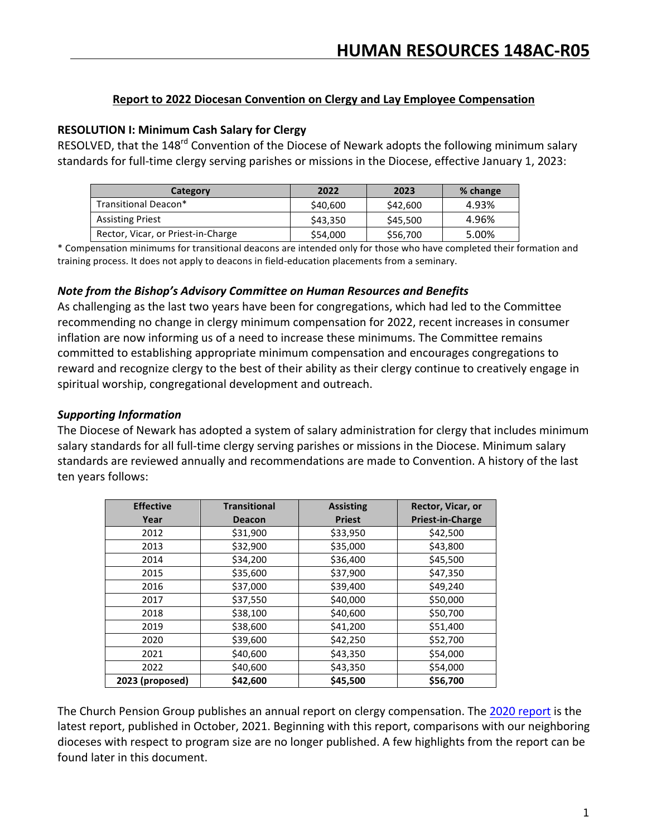### **Report to 2022 Diocesan Convention on Clergy and Lay Employee Compensation**

### **RESOLUTION I: Minimum Cash Salary for Clergy**

RESOLVED, that the 148<sup>rd</sup> Convention of the Diocese of Newark adopts the following minimum salary standards for full-time clergy serving parishes or missions in the Diocese, effective January 1, 2023:

| <b>Category</b>                    | 2022     | 2023     | % change |
|------------------------------------|----------|----------|----------|
| Transitional Deacon*               | \$40,600 | \$42,600 | 4.93%    |
| <b>Assisting Priest</b>            | \$43,350 | \$45,500 | 4.96%    |
| Rector, Vicar, or Priest-in-Charge | \$54,000 | \$56,700 | 5.00%    |

\* Compensation minimums for transitional deacons are intended only for those who have completed their formation and training process. It does not apply to deacons in field-education placements from a seminary.

### *Note from the Bishop's Advisory Committee on Human Resources and Benefits*

As challenging as the last two years have been for congregations, which had led to the Committee recommending no change in clergy minimum compensation for 2022, recent increases in consumer inflation are now informing us of a need to increase these minimums. The Committee remains committed to establishing appropriate minimum compensation and encourages congregations to reward and recognize clergy to the best of their ability as their clergy continue to creatively engage in spiritual worship, congregational development and outreach.

## *Supporting Information*

The Diocese of Newark has adopted a system of salary administration for clergy that includes minimum salary standards for all full-time clergy serving parishes or missions in the Diocese. Minimum salary standards are reviewed annually and recommendations are made to Convention. A history of the last ten years follows:

| <b>Effective</b> | <b>Transitional</b> | <b>Assisting</b> | Rector, Vicar, or       |
|------------------|---------------------|------------------|-------------------------|
| Year             | <b>Deacon</b>       | <b>Priest</b>    | <b>Priest-in-Charge</b> |
| 2012             | \$31,900            | \$33,950         | \$42,500                |
| 2013             | \$32,900            | \$35,000         | \$43,800                |
| 2014             | \$34,200            | \$36,400         | \$45,500                |
| 2015             | \$35,600            | \$37,900         | \$47,350                |
| 2016             | \$37,000            | \$39,400         | \$49,240                |
| 2017             | \$37,550            | \$40,000         | \$50,000                |
| 2018             | \$38,100            | \$40,600         | \$50,700                |
| 2019             | \$38,600            | \$41,200         | \$51,400                |
| 2020             | \$39,600            | \$42,250         | \$52,700                |
| 2021             | \$40,600            | \$43,350         | \$54,000                |
| 2022             | \$40,600            | \$43,350         | \$54,000                |
| 2023 (proposed)  | \$42,600            | \$45,500         | \$56,700                |

The Church Pension Group publishes an annual report on clergy compensation. The 2020 report is the latest report, published in October, 2021. Beginning with this report, comparisons with our neighboring dioceses with respect to program size are no longer published. A few highlights from the report can be found later in this document.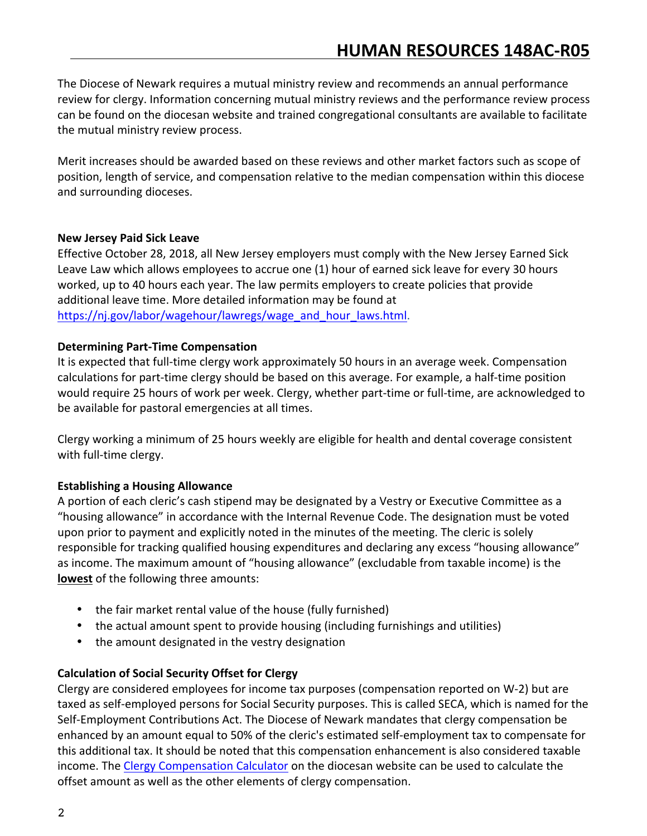The Diocese of Newark requires a mutual ministry review and recommends an annual performance review for clergy. Information concerning mutual ministry reviews and the performance review process can be found on the diocesan website and trained congregational consultants are available to facilitate the mutual ministry review process.

Merit increases should be awarded based on these reviews and other market factors such as scope of position, length of service, and compensation relative to the median compensation within this diocese and surrounding dioceses.

### **New Jersey Paid Sick Leave**

Effective October 28, 2018, all New Jersey employers must comply with the New Jersey Earned Sick Leave Law which allows employees to accrue one (1) hour of earned sick leave for every 30 hours worked, up to 40 hours each year. The law permits employers to create policies that provide additional leave time. More detailed information may be found at https://nj.gov/labor/wagehour/lawregs/wage\_and\_hour\_laws.html.

#### **Determining Part-Time Compensation**

It is expected that full-time clergy work approximately 50 hours in an average week. Compensation calculations for part-time clergy should be based on this average. For example, a half-time position would require 25 hours of work per week. Clergy, whether part-time or full-time, are acknowledged to be available for pastoral emergencies at all times.

Clergy working a minimum of 25 hours weekly are eligible for health and dental coverage consistent with full-time clergy.

# **Establishing a Housing Allowance**

A portion of each cleric's cash stipend may be designated by a Vestry or Executive Committee as a "housing allowance" in accordance with the Internal Revenue Code. The designation must be voted upon prior to payment and explicitly noted in the minutes of the meeting. The cleric is solely responsible for tracking qualified housing expenditures and declaring any excess "housing allowance" as income. The maximum amount of "housing allowance" (excludable from taxable income) is the **lowest** of the following three amounts:

- the fair market rental value of the house (fully furnished)
- the actual amount spent to provide housing (including furnishings and utilities)
- the amount designated in the vestry designation

# **Calculation of Social Security Offset for Clergy**

Clergy are considered employees for income tax purposes (compensation reported on W-2) but are taxed as self-employed persons for Social Security purposes. This is called SECA, which is named for the Self-Employment Contributions Act. The Diocese of Newark mandates that clergy compensation be enhanced by an amount equal to 50% of the cleric's estimated self-employment tax to compensate for this additional tax. It should be noted that this compensation enhancement is also considered taxable income. The Clergy Compensation Calculator on the diocesan website can be used to calculate the offset amount as well as the other elements of clergy compensation.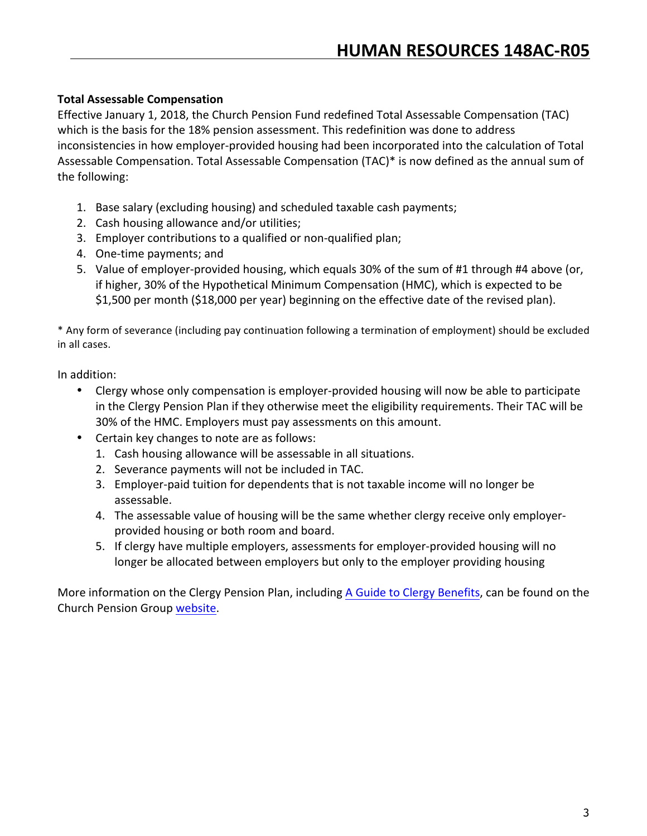# **Total Assessable Compensation**

Effective January 1, 2018, the Church Pension Fund redefined Total Assessable Compensation (TAC) which is the basis for the 18% pension assessment. This redefinition was done to address inconsistencies in how employer-provided housing had been incorporated into the calculation of Total Assessable Compensation. Total Assessable Compensation (TAC)\* is now defined as the annual sum of the following:

- 1. Base salary (excluding housing) and scheduled taxable cash payments;
- 2. Cash housing allowance and/or utilities;
- 3. Employer contributions to a qualified or non-qualified plan;
- 4. One-time payments; and
- 5. Value of employer-provided housing, which equals 30% of the sum of #1 through #4 above (or, if higher, 30% of the Hypothetical Minimum Compensation (HMC), which is expected to be \$1,500 per month (\$18,000 per year) beginning on the effective date of the revised plan).

\* Any form of severance (including pay continuation following a termination of employment) should be excluded in all cases.

In addition:

- Clergy whose only compensation is employer-provided housing will now be able to participate in the Clergy Pension Plan if they otherwise meet the eligibility requirements. Their TAC will be 30% of the HMC. Employers must pay assessments on this amount.
- Certain key changes to note are as follows:
	- 1. Cash housing allowance will be assessable in all situations.
	- 2. Severance payments will not be included in TAC.
	- 3. Employer-paid tuition for dependents that is not taxable income will no longer be assessable.
	- 4. The assessable value of housing will be the same whether clergy receive only employerprovided housing or both room and board.
	- 5. If clergy have multiple employers, assessments for employer-provided housing will no longer be allocated between employers but only to the employer providing housing

More information on the Clergy Pension Plan, including A Guide to Clergy Benefits, can be found on the Church Pension Group website.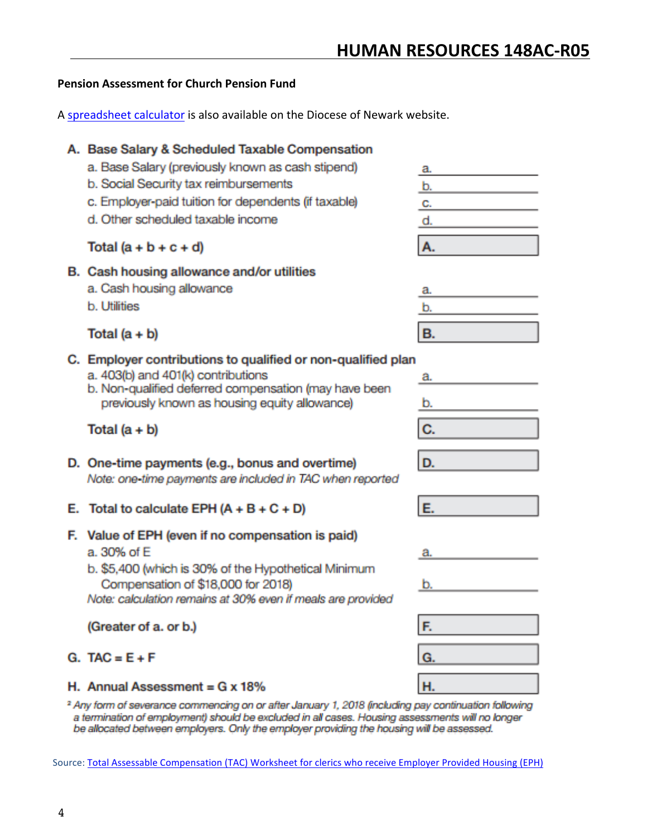# **Pension Assessment for Church Pension Fund**

A spreadsheet calculator is also available on the Diocese of Newark website.

# A. Base Salary & Scheduled Taxable Compensation a. Base Salary (previously known as cash stipend) a. b. Social Security tax reimbursements b. c. Employer-paid tuition for dependents (if taxable) C. d. Other scheduled taxable income d. Total  $(a + b + c + d)$ А. B. Cash housing allowance and/or utilities a. Cash housing allowance a. **b.** Utilities b. **B.** Total  $(a + b)$ C. Employer contributions to qualified or non-qualified plan a. 403(b) and 401(k) contributions b. Non-qualified deferred compensation (may have been previously known as housing equity allowance) Total  $(a + b)$ D. One-time payments (e.g., bonus and overtime) D. Note: one-time payments are included in TAC when reported E. Total to calculate EPH  $(A + B + C + D)$ F. Value of EPH (even if no compensation is paid) a. 30% of E b. \$5,400 (which is 30% of the Hypothetical Minimum Compensation of \$18,000 for 2018) b. Note: calculation remains at 30% even if meals are provided (Greater of a. or b.)

# $G. TAC = E + F$

# H. Annual Assessment =  $G \times 18\%$

<sup>2</sup> Any form of severance commencing on or after January 1, 2018 (including pay continuation following a termination of employment) should be excluded in all cases. Housing assessments will no longer be allocated between employers. Only the employer providing the housing will be assessed.

Source: Total Assessable Compensation (TAC) Worksheet for clerics who receive Employer Provided Housing (EPH)



| a. |  |
|----|--|
| b. |  |
| C. |  |
|    |  |

| - |  |  |  |
|---|--|--|--|
|   |  |  |  |

| F.      |  |
|---------|--|
| I<br>Ġ. |  |
|         |  |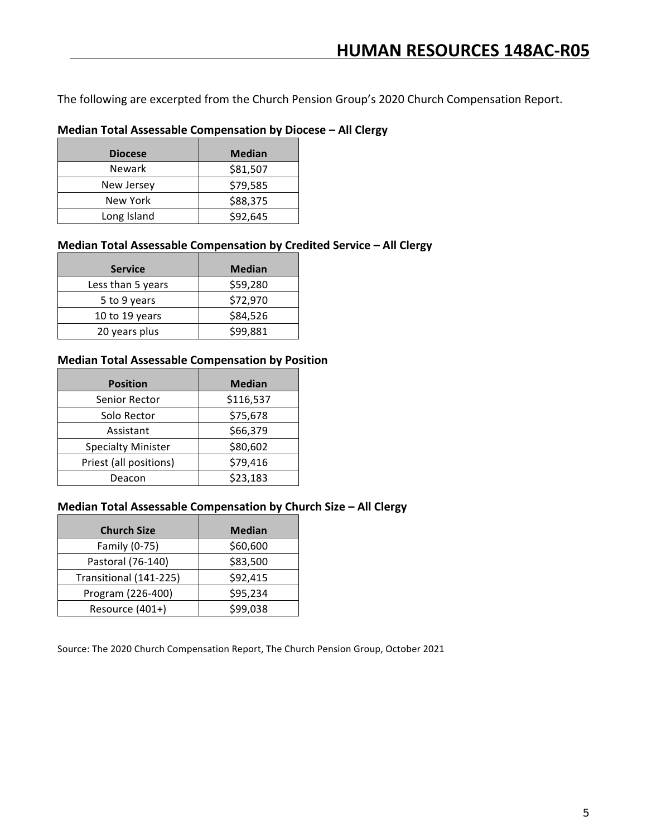The following are excerpted from the Church Pension Group's 2020 Church Compensation Report.

# **Median Total Assessable Compensation by Diocese – All Clergy**

| <b>Diocese</b> | <b>Median</b> |
|----------------|---------------|
| <b>Newark</b>  | \$81,507      |
| New Jersey     | \$79,585      |
| New York       | \$88,375      |
| Long Island    | \$92,645      |

#### **Median Total Assessable Compensation by Credited Service - All Clergy**

| <b>Service</b>    | <b>Median</b> |
|-------------------|---------------|
| Less than 5 years | \$59,280      |
| 5 to 9 years      | \$72,970      |
| 10 to 19 years    | \$84,526      |
| 20 years plus     | \$99,881      |

#### **Median Total Assessable Compensation by Position**

| <b>Position</b>           | <b>Median</b> |
|---------------------------|---------------|
| Senior Rector             | \$116,537     |
| Solo Rector               | \$75,678      |
| Assistant                 | \$66,379      |
| <b>Specialty Minister</b> | \$80,602      |
| Priest (all positions)    | \$79,416      |
| Deacon                    | \$23,183      |

#### **Median Total Assessable Compensation by Church Size - All Clergy**

| <b>Church Size</b>     | <b>Median</b> |
|------------------------|---------------|
| Family (0-75)          | \$60,600      |
| Pastoral (76-140)      | \$83,500      |
| Transitional (141-225) | \$92,415      |
| Program (226-400)      | \$95,234      |
| Resource (401+)        | \$99,038      |

Source: The 2020 Church Compensation Report, The Church Pension Group, October 2021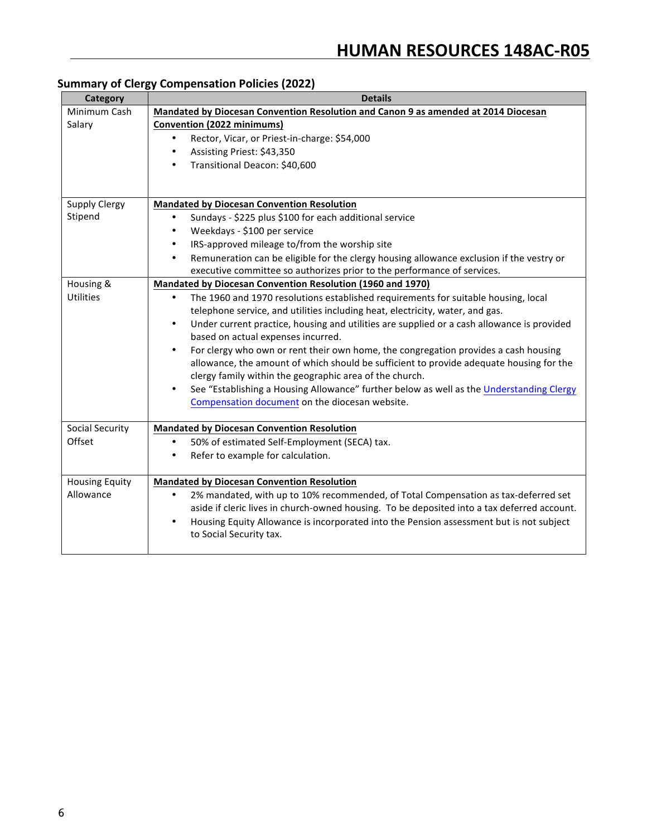# **Summary of Clergy Compensation Policies (2022)**

| <b>Category</b>        | <b>Details</b>                                                                                                                                |
|------------------------|-----------------------------------------------------------------------------------------------------------------------------------------------|
| Minimum Cash           | Mandated by Diocesan Convention Resolution and Canon 9 as amended at 2014 Diocesan                                                            |
| Salary                 | Convention (2022 minimums)                                                                                                                    |
|                        | Rector, Vicar, or Priest-in-charge: \$54,000<br>$\bullet$                                                                                     |
|                        | Assisting Priest: \$43,350<br>$\bullet$                                                                                                       |
|                        | Transitional Deacon: \$40,600<br>$\bullet$                                                                                                    |
|                        |                                                                                                                                               |
|                        |                                                                                                                                               |
| <b>Supply Clergy</b>   | <b>Mandated by Diocesan Convention Resolution</b>                                                                                             |
| Stipend                | Sundays - \$225 plus \$100 for each additional service<br>$\bullet$                                                                           |
|                        | Weekdays - \$100 per service<br>$\bullet$                                                                                                     |
|                        | IRS-approved mileage to/from the worship site                                                                                                 |
|                        | Remuneration can be eligible for the clergy housing allowance exclusion if the vestry or<br>٠                                                 |
|                        | executive committee so authorizes prior to the performance of services.                                                                       |
| Housing &              | <b>Mandated by Diocesan Convention Resolution (1960 and 1970)</b>                                                                             |
| <b>Utilities</b>       | The 1960 and 1970 resolutions established requirements for suitable housing, local<br>$\bullet$                                               |
|                        | telephone service, and utilities including heat, electricity, water, and gas.                                                                 |
|                        | Under current practice, housing and utilities are supplied or a cash allowance is provided<br>$\bullet$<br>based on actual expenses incurred. |
|                        | For clergy who own or rent their own home, the congregation provides a cash housing<br>$\bullet$                                              |
|                        | allowance, the amount of which should be sufficient to provide adequate housing for the                                                       |
|                        | clergy family within the geographic area of the church.                                                                                       |
|                        | See "Establishing a Housing Allowance" further below as well as the Understanding Clergy<br>$\bullet$                                         |
|                        | Compensation document on the diocesan website.                                                                                                |
|                        |                                                                                                                                               |
| <b>Social Security</b> | <b>Mandated by Diocesan Convention Resolution</b>                                                                                             |
| Offset                 | 50% of estimated Self-Employment (SECA) tax.<br>$\bullet$                                                                                     |
|                        | Refer to example for calculation.<br>٠                                                                                                        |
| <b>Housing Equity</b>  | <b>Mandated by Diocesan Convention Resolution</b>                                                                                             |
| Allowance              | 2% mandated, with up to 10% recommended, of Total Compensation as tax-deferred set<br>$\bullet$                                               |
|                        | aside if cleric lives in church-owned housing. To be deposited into a tax deferred account.                                                   |
|                        | Housing Equity Allowance is incorporated into the Pension assessment but is not subject<br>$\bullet$                                          |
|                        | to Social Security tax.                                                                                                                       |
|                        |                                                                                                                                               |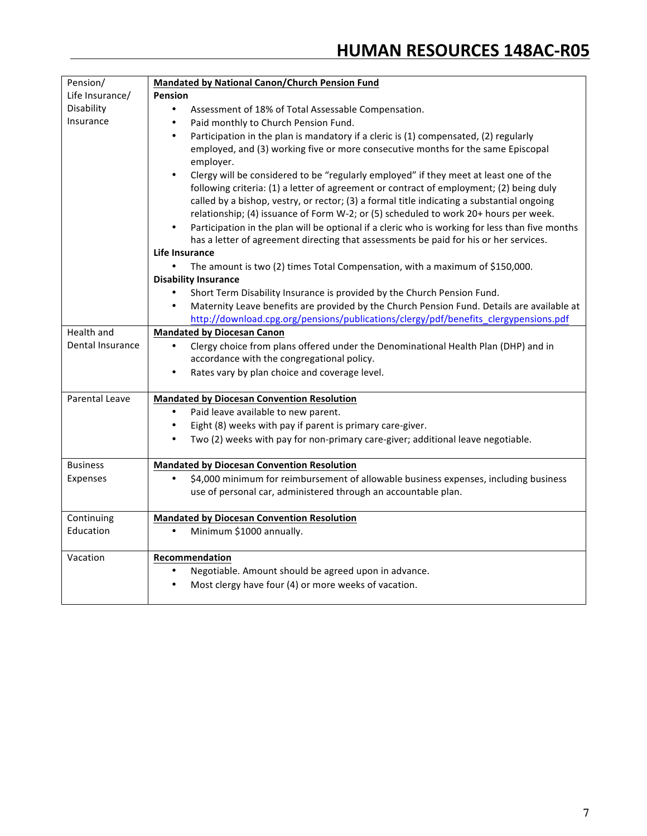| Pension/              | <b>Mandated by National Canon/Church Pension Fund</b>                                              |
|-----------------------|----------------------------------------------------------------------------------------------------|
| Life Insurance/       | Pension                                                                                            |
| Disability            | $\bullet$<br>Assessment of 18% of Total Assessable Compensation.                                   |
| Insurance             | Paid monthly to Church Pension Fund.<br>$\bullet$                                                  |
|                       | Participation in the plan is mandatory if a cleric is (1) compensated, (2) regularly<br>$\bullet$  |
|                       | employed, and (3) working five or more consecutive months for the same Episcopal                   |
|                       | employer.                                                                                          |
|                       | Clergy will be considered to be "regularly employed" if they meet at least one of the<br>$\bullet$ |
|                       | following criteria: (1) a letter of agreement or contract of employment; (2) being duly            |
|                       | called by a bishop, vestry, or rector; (3) a formal title indicating a substantial ongoing         |
|                       | relationship; (4) issuance of Form W-2; or (5) scheduled to work 20+ hours per week.               |
|                       | Participation in the plan will be optional if a cleric who is working for less than five months    |
|                       | has a letter of agreement directing that assessments be paid for his or her services.              |
|                       | Life Insurance                                                                                     |
|                       | The amount is two (2) times Total Compensation, with a maximum of \$150,000.                       |
|                       | <b>Disability Insurance</b>                                                                        |
|                       | $\bullet$<br>Short Term Disability Insurance is provided by the Church Pension Fund.               |
|                       | Maternity Leave benefits are provided by the Church Pension Fund. Details are available at         |
|                       | http://download.cpg.org/pensions/publications/clergy/pdf/benefits_clergypensions.pdf               |
| <b>Health and</b>     | <b>Mandated by Diocesan Canon</b>                                                                  |
| Dental Insurance      | Clergy choice from plans offered under the Denominational Health Plan (DHP) and in<br>$\bullet$    |
|                       | accordance with the congregational policy.                                                         |
|                       | Rates vary by plan choice and coverage level.<br>$\bullet$                                         |
| <b>Parental Leave</b> | <b>Mandated by Diocesan Convention Resolution</b>                                                  |
|                       | Paid leave available to new parent.<br>$\bullet$                                                   |
|                       | Eight (8) weeks with pay if parent is primary care-giver.<br>$\bullet$                             |
|                       | Two (2) weeks with pay for non-primary care-giver; additional leave negotiable.<br>$\bullet$       |
|                       |                                                                                                    |
| <b>Business</b>       | <b>Mandated by Diocesan Convention Resolution</b>                                                  |
| Expenses              | \$4,000 minimum for reimbursement of allowable business expenses, including business<br>$\bullet$  |
|                       | use of personal car, administered through an accountable plan.                                     |
| Continuing            | <b>Mandated by Diocesan Convention Resolution</b>                                                  |
| Education             | Minimum \$1000 annually.                                                                           |
|                       |                                                                                                    |
| Vacation              | Recommendation                                                                                     |
|                       | Negotiable. Amount should be agreed upon in advance.                                               |
|                       | Most clergy have four (4) or more weeks of vacation.                                               |
|                       |                                                                                                    |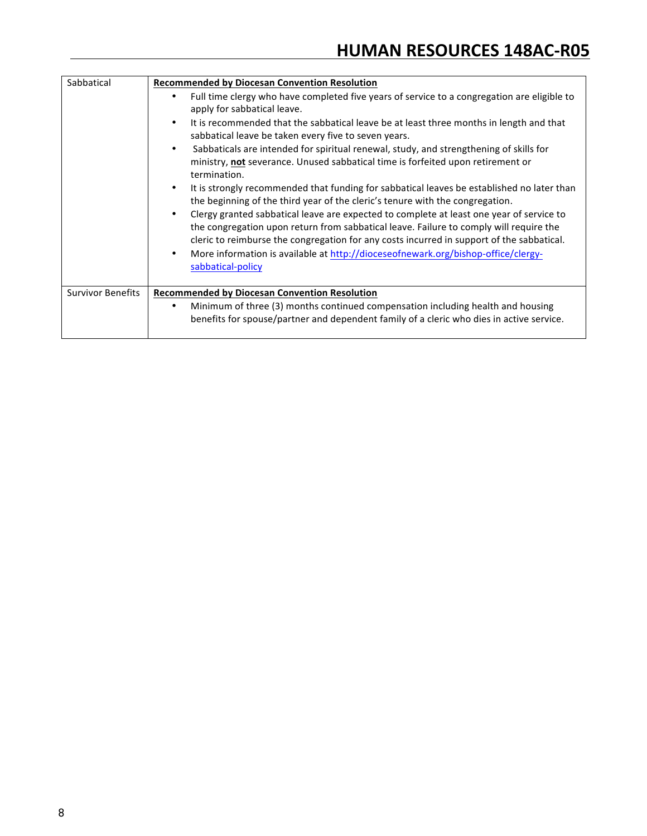| Sabbatical               | <b>Recommended by Diocesan Convention Resolution</b>                                                                                                                                                                                                                            |
|--------------------------|---------------------------------------------------------------------------------------------------------------------------------------------------------------------------------------------------------------------------------------------------------------------------------|
|                          | Full time clergy who have completed five years of service to a congregation are eligible to<br>apply for sabbatical leave.                                                                                                                                                      |
|                          | It is recommended that the sabbatical leave be at least three months in length and that<br>sabbatical leave be taken every five to seven years.                                                                                                                                 |
|                          | Sabbaticals are intended for spiritual renewal, study, and strengthening of skills for<br>$\bullet$<br>ministry, not severance. Unused sabbatical time is forfeited upon retirement or<br>termination.                                                                          |
|                          | It is strongly recommended that funding for sabbatical leaves be established no later than<br>the beginning of the third year of the cleric's tenure with the congregation.                                                                                                     |
|                          | Clergy granted sabbatical leave are expected to complete at least one year of service to<br>the congregation upon return from sabbatical leave. Failure to comply will require the<br>cleric to reimburse the congregation for any costs incurred in support of the sabbatical. |
|                          | More information is available at http://dioceseofnewark.org/bishop-office/clergy-<br>sabbatical-policy                                                                                                                                                                          |
| <b>Survivor Benefits</b> | <b>Recommended by Diocesan Convention Resolution</b>                                                                                                                                                                                                                            |
|                          | Minimum of three (3) months continued compensation including health and housing<br>$\bullet$<br>benefits for spouse/partner and dependent family of a cleric who dies in active service.                                                                                        |